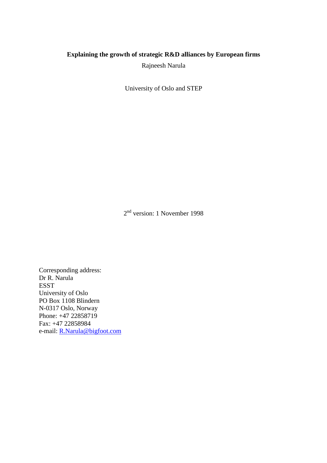# **Explaining the growth of strategic R&D alliances by European firms**

Rajneesh Narula

University of Oslo and STEP

2nd version: 1 November 1998

Corresponding address: Dr R. Narula ESST University of Oslo PO Box 1108 Blindern N-0317 Oslo, Norway Phone: +47 22858719 Fax: +47 22858984 e-mail: R.Narula@bigfoot.com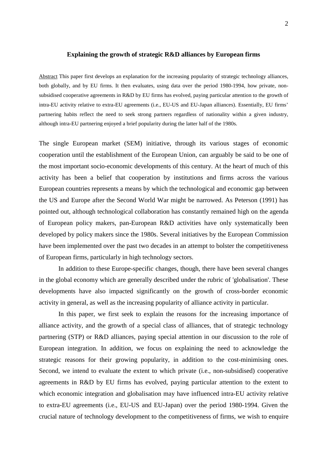#### **Explaining the growth of strategic R&D alliances by European firms**

Abstract This paper first develops an explanation for the increasing popularity of strategic technology alliances, both globally, and by EU firms. It then evaluates, using data over the period 1980-1994, how private, nonsubsidised cooperative agreements in R&D by EU firms has evolved, paying particular attention to the growth of intra-EU activity relative to extra-EU agreements (i.e., EU-US and EU-Japan alliances). Essentially, EU firms' partnering habits reflect the need to seek strong partners regardless of nationality within a given industry, although intra-EU partnering enjoyed a brief popularity during the latter half of the 1980s.

The single European market (SEM) initiative, through its various stages of economic cooperation until the establishment of the European Union, can arguably be said to be one of the most important socio-economic developments of this century. At the heart of much of this activity has been a belief that cooperation by institutions and firms across the various European countries represents a means by which the technological and economic gap between the US and Europe after the Second World War might be narrowed. As Peterson (1991) has pointed out, although technological collaboration has constantly remained high on the agenda of European policy makers, pan-European R&D activities have only systematically been developed by policy makers since the 1980s. Several initiatives by the European Commission have been implemented over the past two decades in an attempt to bolster the competitiveness of European firms, particularly in high technology sectors.

In addition to these Europe-specific changes, though, there have been several changes in the global economy which are generally described under the rubric of 'globalisation'. These developments have also impacted significantly on the growth of cross-border economic activity in general, as well as the increasing popularity of alliance activity in particular.

In this paper, we first seek to explain the reasons for the increasing importance of alliance activity, and the growth of a special class of alliances, that of strategic technology partnering (STP) or R&D alliances, paying special attention in our discussion to the role of European integration. In addition, we focus on explaining the need to acknowledge the strategic reasons for their growing popularity, in addition to the cost-minimising ones. Second, we intend to evaluate the extent to which private (i.e., non-subsidised) cooperative agreements in R&D by EU firms has evolved, paying particular attention to the extent to which economic integration and globalisation may have influenced intra-EU activity relative to extra-EU agreements (i.e., EU-US and EU-Japan) over the period 1980-1994. Given the crucial nature of technology development to the competitiveness of firms, we wish to enquire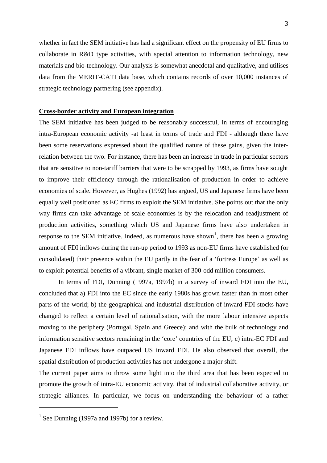whether in fact the SEM initiative has had a significant effect on the propensity of EU firms to collaborate in R&D type activities, with special attention to information technology, new materials and bio-technology. Our analysis is somewhat anecdotal and qualitative, and utilises data from the MERIT-CATI data base, which contains records of over 10,000 instances of strategic technology partnering (see appendix).

#### **Cross-border activity and European integration**

The SEM initiative has been judged to be reasonably successful, in terms of encouraging intra-European economic activity -at least in terms of trade and FDI - although there have been some reservations expressed about the qualified nature of these gains, given the interrelation between the two. For instance, there has been an increase in trade in particular sectors that are sensitive to non-tariff barriers that were to be scrapped by 1993, as firms have sought to improve their efficiency through the rationalisation of production in order to achieve economies of scale. However, as Hughes (1992) has argued, US and Japanese firms have been equally well positioned as EC firms to exploit the SEM initiative. She points out that the only way firms can take advantage of scale economies is by the relocation and readjustment of production activities, something which US and Japanese firms have also undertaken in response to the SEM initiative. Indeed, as numerous have shown<sup>1</sup>, there has been a growing amount of FDI inflows during the run-up period to 1993 as non-EU firms have established (or consolidated) their presence within the EU partly in the fear of a 'fortress Europe' as well as to exploit potential benefits of a vibrant, single market of 300-odd million consumers.

In terms of FDI, Dunning (1997a, 1997b) in a survey of inward FDI into the EU, concluded that a) FDI into the EC since the early 1980s has grown faster than in most other parts of the world; b) the geographical and industrial distribution of inward FDI stocks have changed to reflect a certain level of rationalisation, with the more labour intensive aspects moving to the periphery (Portugal, Spain and Greece); and with the bulk of technology and information sensitive sectors remaining in the 'core' countries of the EU; c) intra-EC FDI and Japanese FDI inflows have outpaced US inward FDI. He also observed that overall, the spatial distribution of production activities has not undergone a major shift.

The current paper aims to throw some light into the third area that has been expected to promote the growth of intra-EU economic activity, that of industrial collaborative activity, or strategic alliances. In particular, we focus on understanding the behaviour of a rather

 $\overline{a}$ 

 $<sup>1</sup>$  See Dunning (1997a and 1997b) for a review.</sup>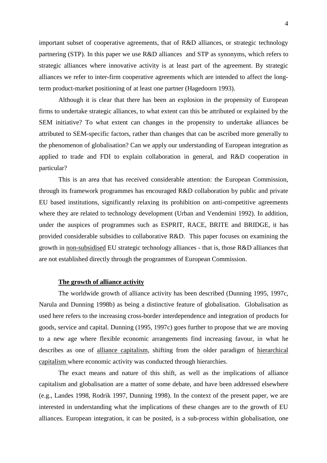important subset of cooperative agreements, that of R&D alliances, or strategic technology partnering (STP). In this paper we use R&D alliances and STP as synonyms, which refers to strategic alliances where innovative activity is at least part of the agreement. By strategic alliances we refer to inter-firm cooperative agreements which are intended to affect the longterm product-market positioning of at least one partner (Hagedoorn 1993).

Although it is clear that there has been an explosion in the propensity of European firms to undertake strategic alliances, to what extent can this be attributed or explained by the SEM initiative? To what extent can changes in the propensity to undertake alliances be attributed to SEM-specific factors, rather than changes that can be ascribed more generally to the phenomenon of globalisation? Can we apply our understanding of European integration as applied to trade and FDI to explain collaboration in general, and R&D cooperation in particular?

This is an area that has received considerable attention: the European Commission, through its framework programmes has encouraged R&D collaboration by public and private EU based institutions, significantly relaxing its prohibition on anti-competitive agreements where they are related to technology development (Urban and Vendemini 1992). In addition, under the auspices of programmes such as ESPRIT, RACE, BRITE and BRIDGE, it has provided considerable subsidies to collaborative R&D. This paper focuses on examining the growth in non-subsidised EU strategic technology alliances - that is, those R&D alliances that are not established directly through the programmes of European Commission.

### **The growth of alliance activity**

The worldwide growth of alliance activity has been described (Dunning 1995, 1997c, Narula and Dunning 1998b) as being a distinctive feature of globalisation. Globalisation as used here refers to the increasing cross-border interdependence and integration of products for goods, service and capital. Dunning (1995, 1997c) goes further to propose that we are moving to a new age where flexible economic arrangements find increasing favour, in what he describes as one of alliance capitalism, shifting from the older paradigm of hierarchical capitalism where economic activity was conducted through hierarchies.

The exact means and nature of this shift, as well as the implications of alliance capitalism and globalisation are a matter of some debate, and have been addressed elsewhere (e.g., Landes 1998, Rodrik 1997, Dunning 1998). In the context of the present paper, we are interested in understanding what the implications of these changes are to the growth of EU alliances. European integration, it can be posited, is a sub-process within globalisation, one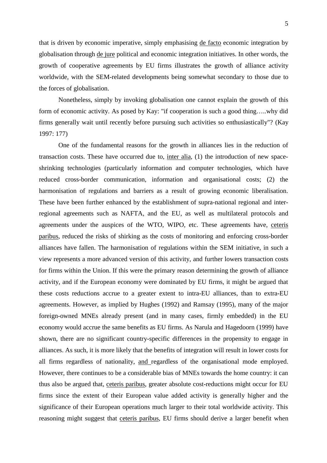that is driven by economic imperative, simply emphasising de facto economic integration by globalisation through de jure political and economic integration initiatives. In other words, the growth of cooperative agreements by EU firms illustrates the growth of alliance activity worldwide, with the SEM-related developments being somewhat secondary to those due to the forces of globalisation.

Nonetheless, simply by invoking globalisation one cannot explain the growth of this form of economic activity. As posed by Kay: "if cooperation is such a good thing…..why did firms generally wait until recently before pursuing such activities so enthusiastically"? (Kay 1997: 177)

One of the fundamental reasons for the growth in alliances lies in the reduction of transaction costs. These have occurred due to, inter alia, (1) the introduction of new spaceshrinking technologies (particularly information and computer technologies, which have reduced cross-border communication, information and organisational costs; (2) the harmonisation of regulations and barriers as a result of growing economic liberalisation. These have been further enhanced by the establishment of supra-national regional and interregional agreements such as NAFTA, and the EU, as well as multilateral protocols and agreements under the auspices of the WTO, WIPO, etc. These agreements have, ceteris paribus, reduced the risks of shirking as the costs of monitoring and enforcing cross-border alliances have fallen. The harmonisation of regulations within the SEM initiative, in such a view represents a more advanced version of this activity, and further lowers transaction costs for firms within the Union. If this were the primary reason determining the growth of alliance activity, and if the European economy were dominated by EU firms, it might be argued that these costs reductions accrue to a greater extent to intra-EU alliances, than to extra-EU agreements. However, as implied by Hughes (1992) and Ramsay (1995), many of the major foreign-owned MNEs already present (and in many cases, firmly embedded) in the EU economy would accrue the same benefits as EU firms. As Narula and Hagedoorn (1999) have shown, there are no significant country-specific differences in the propensity to engage in alliances. As such, it is more likely that the benefits of integration will result in lower costs for all firms regardless of nationality, and regardless of the organisational mode employed. However, there continues to be a considerable bias of MNEs towards the home country: it can thus also be argued that, ceteris paribus, greater absolute cost-reductions might occur for EU firms since the extent of their European value added activity is generally higher and the significance of their European operations much larger to their total worldwide activity. This reasoning might suggest that ceteris paribus, EU firms should derive a larger benefit when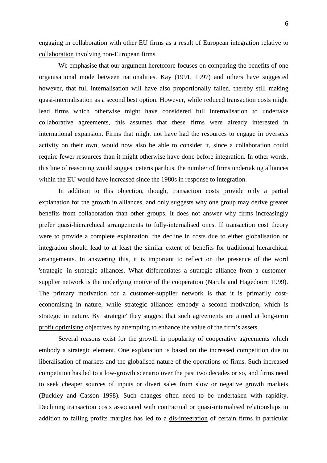engaging in collaboration with other EU firms as a result of European integration relative to collaboration involving non-European firms.

We emphasise that our argument heretofore focuses on comparing the benefits of one organisational mode between nationalities. Kay (1991, 1997) and others have suggested however, that full internalisation will have also proportionally fallen, thereby still making quasi-internalisation as a second best option. However, while reduced transaction costs might lead firms which otherwise might have considered full internalisation to undertake collaborative agreements, this assumes that these firms were already interested in international expansion. Firms that might not have had the resources to engage in overseas activity on their own, would now also be able to consider it, since a collaboration could require fewer resources than it might otherwise have done before integration. In other words, this line of reasoning would suggest ceteris paribus, the number of firms undertaking alliances within the EU would have increased since the 1980s in response to integration.

In addition to this objection, though, transaction costs provide only a partial explanation for the growth in alliances, and only suggests why one group may derive greater benefits from collaboration than other groups. It does not answer why firms increasingly prefer quasi-hierarchical arrangements to fully-internalised ones. If transaction cost theory were to provide a complete explanation, the decline in costs due to either globalisation or integration should lead to at least the similar extent of benefits for traditional hierarchical arrangements. In answering this, it is important to reflect on the presence of the word 'strategic' in strategic alliances. What differentiates a strategic alliance from a customersupplier network is the underlying motive of the cooperation (Narula and Hagedoorn 1999). The primary motivation for a customer-supplier network is that it is primarily costeconomising in nature, while strategic alliances embody a second motivation, which is strategic in nature. By 'strategic' they suggest that such agreements are aimed at long-term profit optimising objectives by attempting to enhance the value of the firm's assets.

Several reasons exist for the growth in popularity of cooperative agreements which embody a strategic element. One explanation is based on the increased competition due to liberalisation of markets and the globalised nature of the operations of firms. Such increased competition has led to a low-growth scenario over the past two decades or so, and firms need to seek cheaper sources of inputs or divert sales from slow or negative growth markets (Buckley and Casson 1998). Such changes often need to be undertaken with rapidity. Declining transaction costs associated with contractual or quasi-internalised relationships in addition to falling profits margins has led to a dis-integration of certain firms in particular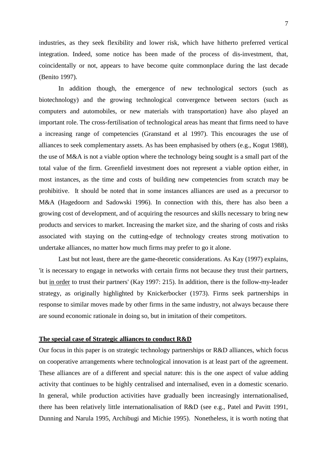industries, as they seek flexibility and lower risk, which have hitherto preferred vertical integration. Indeed, some notice has been made of the process of dis-investment, that, coincidentally or not, appears to have become quite commonplace during the last decade

In addition though, the emergence of new technological sectors (such as biotechnology) and the growing technological convergence between sectors (such as computers and automobiles, or new materials with transportation) have also played an important role. The cross-fertilisation of technological areas has meant that firms need to have a increasing range of competencies (Granstand et al 1997). This encourages the use of alliances to seek complementary assets. As has been emphasised by others (e.g., Kogut 1988), the use of M&A is not a viable option where the technology being sought is a small part of the total value of the firm. Greenfield investment does not represent a viable option either, in most instances, as the time and costs of building new competencies from scratch may be prohibitive. It should be noted that in some instances alliances are used as a precursor to M&A (Hagedoorn and Sadowski 1996). In connection with this, there has also been a growing cost of development, and of acquiring the resources and skills necessary to bring new products and services to market. Increasing the market size, and the sharing of costs and risks associated with staying on the cutting-edge of technology creates strong motivation to undertake alliances, no matter how much firms may prefer to go it alone.

Last but not least, there are the game-theoretic considerations. As Kay (1997) explains, 'it is necessary to engage in networks with certain firms not because they trust their partners, but in order to trust their partners' (Kay 1997: 215). In addition, there is the follow-my-leader strategy, as originally highlighted by Knickerbocker (1973). Firms seek partnerships in response to similar moves made by other firms in the same industry, not always because there are sound economic rationale in doing so, but in imitation of their competitors.

## **The special case of Strategic alliances to conduct R&D**

(Benito 1997).

Our focus in this paper is on strategic technology partnerships or R&D alliances, which focus on cooperative arrangements where technological innovation is at least part of the agreement. These alliances are of a different and special nature: this is the one aspect of value adding activity that continues to be highly centralised and internalised, even in a domestic scenario. In general, while production activities have gradually been increasingly internationalised, there has been relatively little internationalisation of R&D (see e.g., Patel and Pavitt 1991, Dunning and Narula 1995, Archibugi and Michie 1995). Nonetheless, it is worth noting that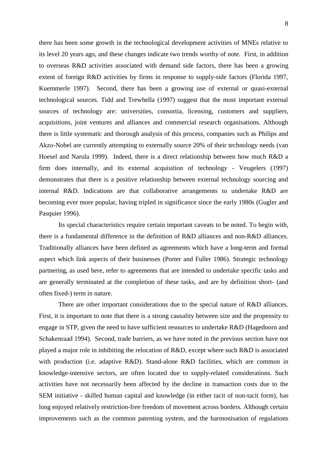there has been some growth in the technological development activities of MNEs relative to its level 20 years ago, and these changes indicate two trends worthy of note. First, in addition to overseas R&D activities associated with demand side factors, there has been a growing extent of foreign R&D activities by firms in response to supply-side factors (Florida 1997, Kuemmerle 1997). Second, there has been a growing use of external or quasi-external technological sources. Tidd and Trewhella (1997) suggest that the most important external sources of technology are: universities, consortia, licensing, customers and suppliers, acquisitions, joint ventures and alliances and commercial research organisations. Although there is little systematic and thorough analysis of this process, companies such as Philips and Akzo-Nobel are currently attempting to externally source 20% of their technology needs (van Hoesel and Narula 1999). Indeed, there is a direct relationship between how much R&D a firm does internally, and its external acquisition of technology - Veugelers (1997) demonstrates that there is a positive relationship between external technology sourcing and internal R&D. Indications are that collaborative arrangements to undertake R&D are becoming ever more popular, having tripled in significance since the early 1980s (Gugler and Pasquier 1996).

Its special characteristics require certain important caveats to be noted. To begin with, there is a fundamental difference in the definition of R&D alliances and non-R&D alliances. Traditionally alliances have been defined as agreements which have a long-term and formal aspect which link aspects of their businesses (Porter and Fuller 1986). Strategic technology partnering, as used here, refer to agreements that are intended to undertake specific tasks and are generally terminated at the completion of these tasks, and are by definition short- (and often fixed-) term in nature.

There are other important considerations due to the special nature of R&D alliances. First, it is important to note that there is a strong causality between size and the propensity to engage in STP, given the need to have sufficient resources to undertake R&D (Hagedoorn and Schakenraad 1994). Second, trade barriers, as we have noted in the previous section have not played a major role in inhibiting the relocation of R&D, except where such R&D is associated with production (i.e. adaptive R&D). Stand-alone R&D facilities, which are common in knowledge-intensive sectors, are often located due to supply-related considerations. Such activities have not necessarily been affected by the decline in transaction costs due to the SEM initiative - skilled human capital and knowledge (in either tacit of non-tacit form), has long enjoyed relatively restriction-free freedom of movement across borders. Although certain improvements such as the common patenting system, and the harmonisation of regulations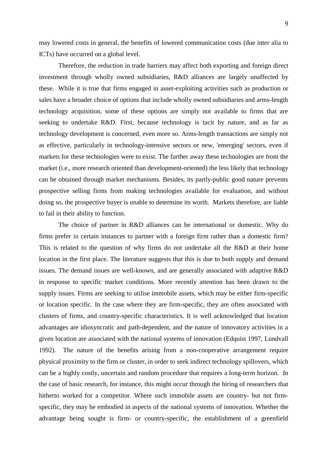may lowered costs in general, the benefits of lowered communication costs (due inter alia to ICTs) have occurred on a global level.

Therefore, the reduction in trade barriers may affect both exporting and foreign direct investment through wholly owned subsidiaries, R&D alliances are largely unaffected by these. While it is true that firms engaged in asset-exploiting activities such as production or sales have a broader choice of options that include wholly owned subsidiaries and arms-length technology acquisition, some of these options are simply not available to firms that are seeking to undertake R&D. First, because technology is tacit by nature, and as far as technology development is concerned, even more so. Arms-length transactions are simply not as effective, particularly in technology-intensive sectors or new, 'emerging' sectors, even if markets for these technologies were to exist. The further away these technologies are from the market (i.e., more research oriented than development-oriented) the less likely that technology can be obtained through market mechanisms. Besides, its partly-public good nature prevents prospective selling firms from making technologies available for evaluation, and without doing so, the prospective buyer is unable to determine its worth. Markets therefore, are liable to fail in their ability to function.

The choice of partner in R&D alliances can be international or domestic. Why do firms prefer in certain instances to partner with a foreign firm rather than a domestic firm? This is related to the question of why firms do not undertake all the R&D at their home location in the first place. The literature suggests that this is due to both supply and demand issues. The demand issues are well-known, and are generally associated with adaptive R&D in response to specific market conditions. More recently attention has been drawn to the supply issues. Firms are seeking to utilise immobile assets, which may be either firm-specific or location specific. In the case where they are firm-specific, they are often associated with clusters of firms, and country-specific characteristics. It is well acknowledged that location advantages are idiosyncratic and path-dependent, and the nature of innovatory activities in a given location are associated with the national systems of innovation (Edquist 1997, Lundvall 1992). The nature of the benefits arising from a non-cooperative arrangement require physical proximity to the firm or cluster, in order to seek indirect technology spillovers, which can be a highly costly, uncertain and random procedure that requires a long-term horizon. In the case of basic research, for instance, this might occur through the hiring of researchers that hitherto worked for a competitor. Where such immobile assets are country- but not firmspecific, they may be embodied in aspects of the national systems of innovation. Whether the advantage being sought is firm- or country-specific, the establishment of a greenfield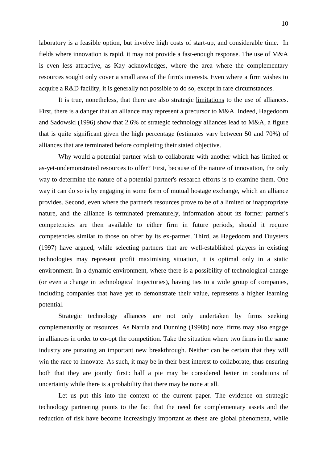laboratory is a feasible option, but involve high costs of start-up, and considerable time. In fields where innovation is rapid, it may not provide a fast-enough response. The use of M&A is even less attractive, as Kay acknowledges, where the area where the complementary resources sought only cover a small area of the firm's interests. Even where a firm wishes to acquire a R&D facility, it is generally not possible to do so, except in rare circumstances.

It is true, nonetheless, that there are also strategic limitations to the use of alliances. First, there is a danger that an alliance may represent a precursor to M&A. Indeed, Hagedoorn and Sadowski (1996) show that 2.6% of strategic technology alliances lead to M&A, a figure that is quite significant given the high percentage (estimates vary between 50 and 70%) of alliances that are terminated before completing their stated objective.

Why would a potential partner wish to collaborate with another which has limited or as-yet-undemonstrated resources to offer? First, because of the nature of innovation, the only way to determine the nature of a potential partner's research efforts is to examine them. One way it can do so is by engaging in some form of mutual hostage exchange, which an alliance provides. Second, even where the partner's resources prove to be of a limited or inappropriate nature, and the alliance is terminated prematurely, information about its former partner's competencies are then available to either firm in future periods, should it require competencies similar to those on offer by its ex-partner. Third, as Hagedoorn and Duysters (1997) have argued, while selecting partners that are well-established players in existing technologies may represent profit maximising situation, it is optimal only in a static environment. In a dynamic environment, where there is a possibility of technological change (or even a change in technological trajectories), having ties to a wide group of companies, including companies that have yet to demonstrate their value, represents a higher learning potential.

Strategic technology alliances are not only undertaken by firms seeking complementarily or resources. As Narula and Dunning (1998b) note, firms may also engage in alliances in order to co-opt the competition. Take the situation where two firms in the same industry are pursuing an important new breakthrough. Neither can be certain that they will win the race to innovate. As such, it may be in their best interest to collaborate, thus ensuring both that they are jointly 'first': half a pie may be considered better in conditions of uncertainty while there is a probability that there may be none at all.

Let us put this into the context of the current paper. The evidence on strategic technology partnering points to the fact that the need for complementary assets and the reduction of risk have become increasingly important as these are global phenomena, while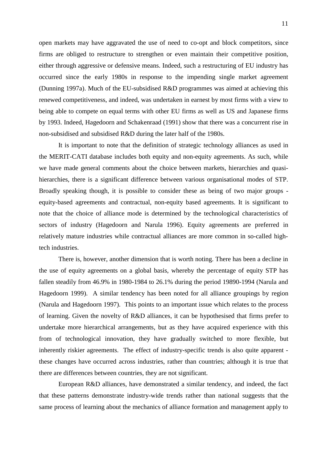open markets may have aggravated the use of need to co-opt and block competitors, since firms are obliged to restructure to strengthen or even maintain their competitive position, either through aggressive or defensive means. Indeed, such a restructuring of EU industry has occurred since the early 1980s in response to the impending single market agreement (Dunning 1997a). Much of the EU-subsidised R&D programmes was aimed at achieving this renewed competitiveness, and indeed, was undertaken in earnest by most firms with a view to being able to compete on equal terms with other EU firms as well as US and Japanese firms by 1993. Indeed, Hagedoorn and Schakenraad (1991) show that there was a concurrent rise in non-subsidised and subsidised R&D during the later half of the 1980s.

It is important to note that the definition of strategic technology alliances as used in the MERIT-CATI database includes both equity and non-equity agreements. As such, while we have made general comments about the choice between markets, hierarchies and quasihierarchies, there is a significant difference between various organisational modes of STP. Broadly speaking though, it is possible to consider these as being of two major groups equity-based agreements and contractual, non-equity based agreements. It is significant to note that the choice of alliance mode is determined by the technological characteristics of sectors of industry (Hagedoorn and Narula 1996). Equity agreements are preferred in relatively mature industries while contractual alliances are more common in so-called hightech industries.

There is, however, another dimension that is worth noting. There has been a decline in the use of equity agreements on a global basis, whereby the percentage of equity STP has fallen steadily from 46.9% in 1980-1984 to 26.1% during the period 19890-1994 (Narula and Hagedoorn 1999). A similar tendency has been noted for all alliance groupings by region (Narula and Hagedoorn 1997). This points to an important issue which relates to the process of learning. Given the novelty of R&D alliances, it can be hypothesised that firms prefer to undertake more hierarchical arrangements, but as they have acquired experience with this from of technological innovation, they have gradually switched to more flexible, but inherently riskier agreements. The effect of industry-specific trends is also quite apparent these changes have occurred across industries, rather than countries; although it is true that there are differences between countries, they are not significant.

European R&D alliances, have demonstrated a similar tendency, and indeed, the fact that these patterns demonstrate industry-wide trends rather than national suggests that the same process of learning about the mechanics of alliance formation and management apply to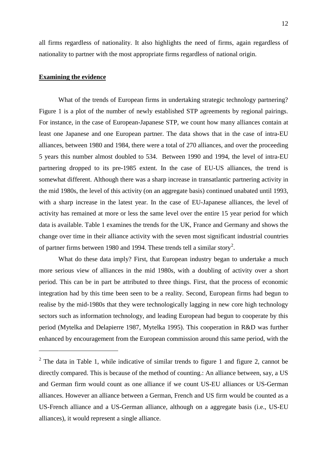all firms regardless of nationality. It also highlights the need of firms, again regardless of nationality to partner with the most appropriate firms regardless of national origin.

### **Examining the evidence**

 $\overline{a}$ 

What of the trends of European firms in undertaking strategic technology partnering? Figure 1 is a plot of the number of newly established STP agreements by regional pairings. For instance, in the case of European-Japanese STP, we count how many alliances contain at least one Japanese and one European partner. The data shows that in the case of intra-EU alliances, between 1980 and 1984, there were a total of 270 alliances, and over the proceeding 5 years this number almost doubled to 534. Between 1990 and 1994, the level of intra-EU partnering dropped to its pre-1985 extent. In the case of EU-US alliances, the trend is somewhat different. Although there was a sharp increase in transatlantic partnering activity in the mid 1980s, the level of this activity (on an aggregate basis) continued unabated until 1993, with a sharp increase in the latest year. In the case of EU-Japanese alliances, the level of activity has remained at more or less the same level over the entire 15 year period for which data is available. Table 1 examines the trends for the UK, France and Germany and shows the change over time in their alliance activity with the seven most significant industrial countries of partner firms between 1980 and 1994. These trends tell a similar story<sup>2</sup>.

What do these data imply? First, that European industry began to undertake a much more serious view of alliances in the mid 1980s, with a doubling of activity over a short period. This can be in part be attributed to three things. First, that the process of economic integration had by this time been seen to be a reality. Second, European firms had begun to realise by the mid-1980s that they were technologically lagging in new core high technology sectors such as information technology, and leading European had begun to cooperate by this period (Mytelka and Delapierre 1987, Mytelka 1995). This cooperation in R&D was further enhanced by encouragement from the European commission around this same period, with the

<sup>&</sup>lt;sup>2</sup> The data in Table 1, while indicative of similar trends to figure 1 and figure 2, cannot be directly compared. This is because of the method of counting.: An alliance between, say, a US and German firm would count as one alliance if we count US-EU alliances or US-German alliances. However an alliance between a German, French and US firm would be counted as a US-French alliance and a US-German alliance, although on a aggregate basis (i.e., US-EU alliances), it would represent a single alliance.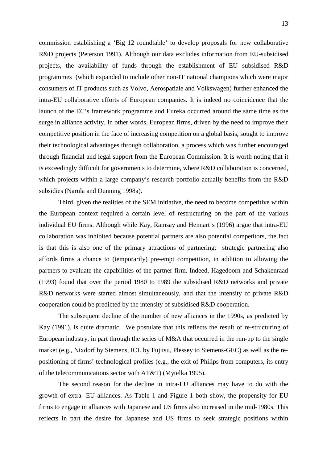commission establishing a 'Big 12 roundtable' to develop proposals for new collaborative R&D projects (Peterson 1991). Although our data excludes information from EU-subsidised projects, the availability of funds through the establishment of EU subsidised R&D programmes (which expanded to include other non-IT national champions which were major consumers of IT products such as Volvo, Aerospatiale and Volkswagen) further enhanced the intra-EU collaborative efforts of European companies. It is indeed no coincidence that the launch of the EC's framework programme and Eureka occurred around the same time as the surge in alliance activity. In other words, European firms, driven by the need to improve their competitive position in the face of increasing competition on a global basis, sought to improve their technological advantages through collaboration, a process which was further encouraged through financial and legal support from the European Commission. It is worth noting that it is exceedingly difficult for governments to determine, where R&D collaboration is concerned, which projects within a large company's research portfolio actually benefits from the R&D subsidies (Narula and Dunning 1998a).

Third, given the realities of the SEM initiative, the need to become competitive within the European context required a certain level of restructuring on the part of the various individual EU firms. Although while Kay, Ramsay and Hennart's (1996) argue that intra-EU collaboration was inhibited because potential partners are also potential competitors, the fact is that this is also one of the primary attractions of partnering: strategic partnering also affords firms a chance to (temporarily) pre-empt competition, in addition to allowing the partners to evaluate the capabilities of the partner firm. Indeed, Hagedoorn and Schakenraad (1993) found that over the period 1980 to 1989 the subsidised R&D networks and private R&D networks were started almost simultaneously, and that the intensity of private R&D cooperation could be predicted by the intensity of subsidised R&D cooperation.

The subsequent decline of the number of new alliances in the 1990s, as predicted by Kay (1991), is quite dramatic. We postulate that this reflects the result of re-structuring of European industry, in part through the series of M&A that occurred in the run-up to the single market (e.g., Nixdorf by Siemens, ICL by Fujitsu, Plessey to Siemens-GEC) as well as the repositioning of firms' technological profiles (e.g., the exit of Philips from computers, its entry of the telecommunications sector with AT&T) (Mytelka 1995).

The second reason for the decline in intra-EU alliances may have to do with the growth of extra- EU alliances. As Table 1 and Figure 1 both show, the propensity for EU firms to engage in alliances with Japanese and US firms also increased in the mid-1980s. This reflects in part the desire for Japanese and US firms to seek strategic positions within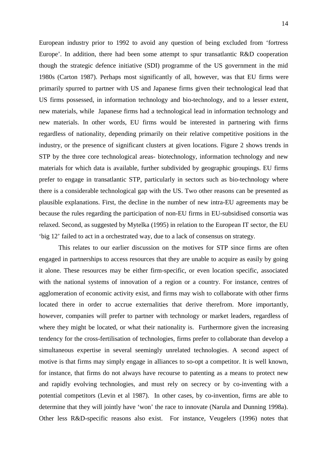European industry prior to 1992 to avoid any question of being excluded from 'fortress Europe'. In addition, there had been some attempt to spur transatlantic R&D cooperation though the strategic defence initiative (SDI) programme of the US government in the mid 1980s (Carton 1987). Perhaps most significantly of all, however, was that EU firms were primarily spurred to partner with US and Japanese firms given their technological lead that US firms possessed, in information technology and bio-technology, and to a lesser extent, new materials, while Japanese firms had a technological lead in information technology and new materials. In other words, EU firms would be interested in partnering with firms regardless of nationality, depending primarily on their relative competitive positions in the industry, or the presence of significant clusters at given locations. Figure 2 shows trends in STP by the three core technological areas- biotechnology, information technology and new materials for which data is available, further subdivided by geographic groupings. EU firms prefer to engage in transatlantic STP, particularly in sectors such as bio-technology where there is a considerable technological gap with the US. Two other reasons can be presented as plausible explanations. First, the decline in the number of new intra-EU agreements may be because the rules regarding the participation of non-EU firms in EU-subsidised consortia was relaxed. Second, as suggested by Mytelka (1995) in relation to the European IT sector, the EU 'big 12' failed to act in a orchestrated way, due to a lack of consensus on strategy.

This relates to our earlier discussion on the motives for STP since firms are often engaged in partnerships to access resources that they are unable to acquire as easily by going it alone. These resources may be either firm-specific, or even location specific, associated with the national systems of innovation of a region or a country. For instance, centres of agglomeration of economic activity exist, and firms may wish to collaborate with other firms located there in order to accrue externalities that derive therefrom. More importantly, however, companies will prefer to partner with technology or market leaders, regardless of where they might be located, or what their nationality is. Furthermore given the increasing tendency for the cross-fertilisation of technologies, firms prefer to collaborate than develop a simultaneous expertise in several seemingly unrelated technologies. A second aspect of motive is that firms may simply engage in alliances to so-opt a competitor. It is well known, for instance, that firms do not always have recourse to patenting as a means to protect new and rapidly evolving technologies, and must rely on secrecy or by co-inventing with a potential competitors (Levin et al 1987). In other cases, by co-invention, firms are able to determine that they will jointly have 'won' the race to innovate (Narula and Dunning 1998a). Other less R&D-specific reasons also exist. For instance, Veugelers (1996) notes that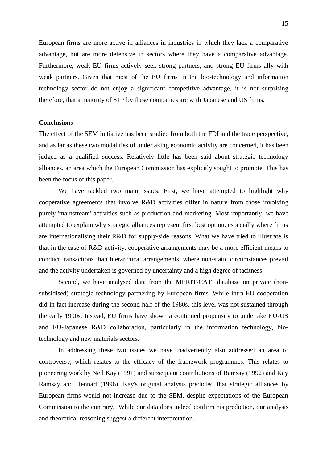European firms are more active in alliances in industries in which they lack a comparative advantage, but are more defensive in sectors where they have a comparative advantage. Furthermore, weak EU firms actively seek strong partners, and strong EU firms ally with weak partners. Given that most of the EU firms in the bio-technology and information technology sector do not enjoy a significant competitive advantage, it is not surprising therefore, that a majority of STP by these companies are with Japanese and US firms.

### **Conclusions**

The effect of the SEM initiative has been studied from both the FDI and the trade perspective, and as far as these two modalities of undertaking economic activity are concerned, it has been judged as a qualified success. Relatively little has been said about strategic technology alliances, an area which the European Commission has explicitly sought to promote. This has been the focus of this paper.

We have tackled two main issues. First, we have attempted to highlight why cooperative agreements that involve R&D activities differ in nature from those involving purely 'mainstream' activities such as production and marketing. Most importantly, we have attempted to explain why strategic alliances represent first best option, especially where firms are internationalising their R&D for supply-side reasons. What we have tried to illustrate is that in the case of R&D activity, cooperative arrangements may be a more efficient means to conduct transactions than hierarchical arrangements, where non-static circumstances prevail and the activity undertaken is governed by uncertainty and a high degree of tacitness.

Second, we have analysed data from the MERIT-CATI database on private (nonsubsidised) strategic technology partnering by European firms. While intra-EU cooperation did in fact increase during the second half of the 1980s, this level was not sustained through the early 1990s. Instead, EU firms have shown a continued propensity to undertake EU-US and EU-Japanese R&D collaboration, particularly in the information technology, biotechnology and new materials sectors.

In addressing these two issues we have inadvertently also addressed an area of controversy, which relates to the efficacy of the framework programmes. This relates to pioneering work by Neil Kay (1991) and subsequent contributions of Ramsay (1992) and Kay Ramsay and Hennart (1996). Kay's original analysis predicted that strategic alliances by European firms would not increase due to the SEM, despite expectations of the European Commission to the contrary. While our data does indeed confirm his prediction, our analysis and theoretical reasoning suggest a different interpretation.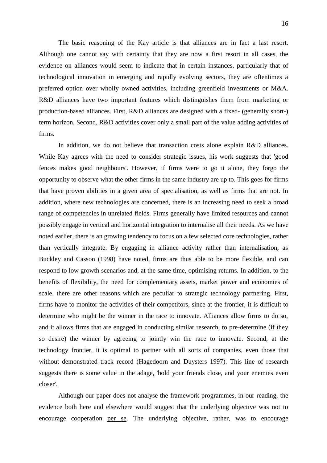The basic reasoning of the Kay article is that alliances are in fact a last resort. Although one cannot say with certainty that they are now a first resort in all cases, the evidence on alliances would seem to indicate that in certain instances, particularly that of technological innovation in emerging and rapidly evolving sectors, they are oftentimes a preferred option over wholly owned activities, including greenfield investments or M&A. R&D alliances have two important features which distinguishes them from marketing or production-based alliances. First, R&D alliances are designed with a fixed- (generally short-) term horizon. Second, R&D activities cover only a small part of the value adding activities of firms.

In addition, we do not believe that transaction costs alone explain R&D alliances. While Kay agrees with the need to consider strategic issues, his work suggests that 'good fences makes good neighbours'. However, if firms were to go it alone, they forgo the opportunity to observe what the other firms in the same industry are up to. This goes for firms that have proven abilities in a given area of specialisation, as well as firms that are not. In addition, where new technologies are concerned, there is an increasing need to seek a broad range of competencies in unrelated fields. Firms generally have limited resources and cannot possibly engage in vertical and horizontal integration to internalise all their needs. As we have noted earlier, there is an growing tendency to focus on a few selected core technologies, rather than vertically integrate. By engaging in alliance activity rather than internalisation, as Buckley and Casson (1998) have noted, firms are thus able to be more flexible, and can respond to low growth scenarios and, at the same time, optimising returns. In addition, to the benefits of flexibility, the need for complementary assets, market power and economies of scale, there are other reasons which are peculiar to strategic technology partnering. First, firms have to monitor the activities of their competitors, since at the frontier, it is difficult to determine who might be the winner in the race to innovate. Alliances allow firms to do so, and it allows firms that are engaged in conducting similar research, to pre-determine (if they so desire) the winner by agreeing to jointly win the race to innovate. Second, at the technology frontier, it is optimal to partner with all sorts of companies, even those that without demonstrated track record (Hagedoorn and Duysters 1997). This line of research suggests there is some value in the adage, 'hold your friends close, and your enemies even closer'.

Although our paper does not analyse the framework programmes, in our reading, the evidence both here and elsewhere would suggest that the underlying objective was not to encourage cooperation per se. The underlying objective, rather, was to encourage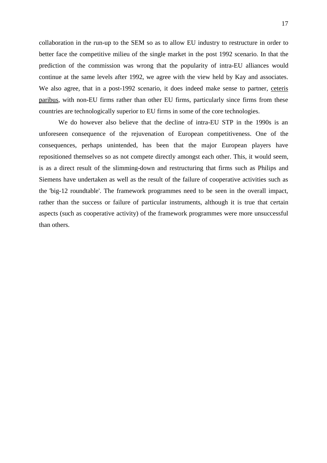collaboration in the run-up to the SEM so as to allow EU industry to restructure in order to better face the competitive milieu of the single market in the post 1992 scenario. In that the prediction of the commission was wrong that the popularity of intra-EU alliances would continue at the same levels after 1992, we agree with the view held by Kay and associates. We also agree, that in a post-1992 scenario, it does indeed make sense to partner, ceteris paribus, with non-EU firms rather than other EU firms, particularly since firms from these countries are technologically superior to EU firms in some of the core technologies.

We do however also believe that the decline of intra-EU STP in the 1990s is an unforeseen consequence of the rejuvenation of European competitiveness. One of the consequences, perhaps unintended, has been that the major European players have repositioned themselves so as not compete directly amongst each other. This, it would seem, is as a direct result of the slimming-down and restructuring that firms such as Philips and Siemens have undertaken as well as the result of the failure of cooperative activities such as the 'big-12 roundtable'. The framework programmes need to be seen in the overall impact, rather than the success or failure of particular instruments, although it is true that certain aspects (such as cooperative activity) of the framework programmes were more unsuccessful than others.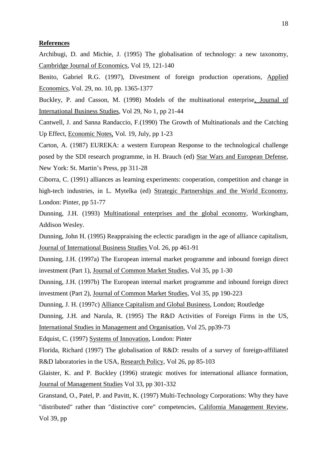### **References**

Archibugi, D. and Michie, J. (1995) The globalisation of technology: a new taxonomy, Cambridge Journal of Economics, Vol 19, 121-140

Benito, Gabriel R.G. (1997), Divestment of foreign production operations, Applied Economics, Vol. 29, no. 10, pp. 1365-1377

Buckley, P. and Casson, M. (1998) Models of the multinational enterprise, Journal of International Business Studies, Vol 29, No 1, pp 21-44

Cantwell, J. and Sanna Randaccio, F.(1990) The Growth of Multinationals and the Catching Up Effect, Economic Notes, Vol. 19, July, pp 1-23

Carton, A. (1987) EUREKA: a western European Response to the technological challenge posed by the SDI research programme, in H. Brauch (ed) Star Wars and European Defense, New York: St. Martin's Press, pp 311-28

Ciborra, C. (1991) alliances as learning experiments: cooperation, competition and change in high-tech industries, in L. Mytelka (ed) Strategic Partnerships and the World Economy, London: Pinter, pp 51-77

Dunning, J.H. (1993) Multinational enterprises and the global economy, Workingham, Addison Wesley.

Dunning, John H. (1995) Reappraising the eclectic paradigm in the age of alliance capitalism, Journal of International Business Studies Vol. 26, pp 461-91

Dunning, J.H. (1997a) The European internal market programme and inbound foreign direct investment (Part 1), Journal of Common Market Studies, Vol 35, pp 1-30

Dunning, J.H. (1997b) The European internal market programme and inbound foreign direct investment (Part 2), Journal of Common Market Studies, Vol 35, pp 190-223

Dunning, J. H. (1997c) Alliance Capitalism and Global Business, London; Routledge

Dunning, J.H. and Narula, R. (1995) The R&D Activities of Foreign Firms in the US, International Studies in Management and Organisation, Vol 25, pp39-73

Edquist, C. (1997) Systems of Innovation, London: Pinter

Florida, Richard (1997) The globalisation of R&D: results of a survey of foreign-affiliated R&D laboratories in the USA, Research Policy, Vol 26, pp 85-103

Glaister, K. and P. Buckley (1996) strategic motives for international alliance formation, Journal of Management Studies Vol 33, pp 301-332

Granstand, O., Patel, P. and Pavitt, K. (1997) Multi-Technology Corporations: Why they have "distributed" rather than "distinctive core" competencies, California Management Review, Vol 39, pp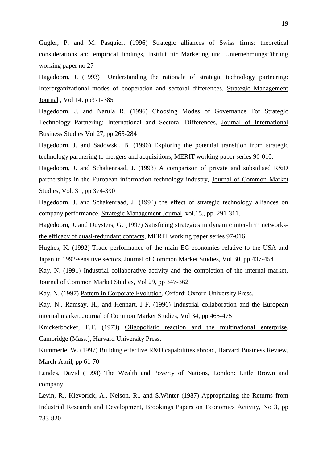Gugler, P. and M. Pasquier. (1996) Strategic alliances of Swiss firms: theoretical considerations and empirical findings, Institut für Marketing und Unternehmungsführung working paper no 27

Hagedoorn, J. (1993) Understanding the rationale of strategic technology partnering: Interorganizational modes of cooperation and sectoral differences, Strategic Management Journal , Vol 14, pp371-385

Hagedoorn, J. and Narula R. (1996) Choosing Modes of Governance For Strategic Technology Partnering: International and Sectoral Differences, Journal of International Business Studies Vol 27, pp 265-284

Hagedoorn, J. and Sadowski, B. (1996) Exploring the potential transition from strategic technology partnering to mergers and acquisitions, MERIT working paper series 96-010.

Hagedoorn, J. and Schakenraad, J. (1993) A comparison of private and subsidised R&D partnerships in the European information technology industry, Journal of Common Market Studies, Vol. 31, pp 374-390

Hagedoorn, J. and Schakenraad, J. (1994) the effect of strategic technology alliances on company performance, Strategic Management Journal, vol.15., pp. 291-311.

Hagedoorn, J. and Duysters, G. (1997) Satisficing strategies in dynamic inter-firm networksthe efficacy of quasi-redundant contacts, MERIT working paper series 97-016

Hughes, K. (1992) Trade performance of the main EC economies relative to the USA and Japan in 1992-sensitive sectors, Journal of Common Market Studies, Vol 30, pp 437-454

Kay, N. (1991) Industrial collaborative activity and the completion of the internal market, Journal of Common Market Studies, Vol 29, pp 347-362

Kay, N. (1997) Pattern in Corporate Evolution, Oxford: Oxford University Press.

Kay, N., Ramsay, H., and Hennart, J-F. (1996) Industrial collaboration and the European internal market, Journal of Common Market Studies, Vol 34, pp 465-475

Knickerbocker, F.T. (1973) Oligopolistic reaction and the multinational enterprise, Cambridge (Mass.), Harvard University Press.

Kummerle, W. (1997) Building effective R&D capabilities abroad, Harvard Business Review, March-April, pp 61-70

Landes, David (1998) The Wealth and Poverty of Nations, London: Little Brown and company

Levin, R., Klevorick, A., Nelson, R., and S.Winter (1987) Appropriating the Returns from Industrial Research and Development, Brookings Papers on Economics Activity, No 3, pp 783-820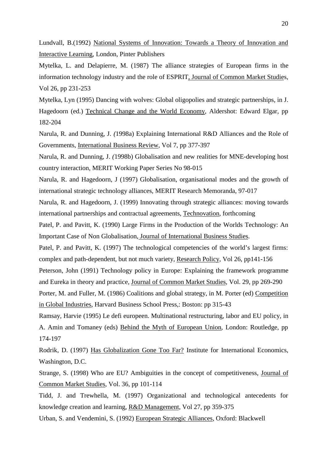Lundvall, B.(1992) National Systems of Innovation: Towards a Theory of Innovation and Interactive Learning, London, Pinter Publishers

Mytelka, L. and Delapierre, M. (1987) The alliance strategies of European firms in the information technology industry and the role of ESPRIT, Journal of Common Market Studies, Vol 26, pp 231-253

Mytelka, Lyn (1995) Dancing with wolves: Global oligopolies and strategic partnerships, in J. Hagedoorn (ed.) Technical Change and the World Economy, Aldershot: Edward Elgar, pp 182-204

Narula, R. and Dunning, J. *(*1998a) Explaining International R&D Alliances and the Role of Governments, International Business Review, Vol 7, pp 377-397

Narula, R. and Dunning, J. *(*1998b) Globalisation and new realities for MNE-developing host country interaction, MERIT Working Paper Series No 98-015

Narula, R. and Hagedoorn, J (1997) Globalisation, organisational modes and the growth of international strategic technology alliances, MERIT Research Memoranda, 97-017

Narula, R. and Hagedoorn, J. (1999) Innovating through strategic alliances: moving towards international partnerships and contractual agreements, Technovation, forthcoming

Patel, P. and Pavitt, K. (1990) Large Firms in the Production of the Worlds Technology: An Important Case of Non Globalisation, Journal of International Business Studies.

Patel, P. and Pavitt, K. (1997) The technological competencies of the world's largest firms: complex and path-dependent, but not much variety, Research Policy, Vol 26, pp141-156

Peterson, John (1991) Technology policy in Europe: Explaining the framework programme and Eureka in theory and practice, Journal of Common Market Studies, Vol. 29, pp 269-290

Porter, M. and Fuller, M. (1986) Coalitions and global strategy, in M. Porter (ed) Competition in Global Industries, Harvard Business School Press,: Boston: pp 315-43

Ramsay, Harvie (1995) Le defi europeen. Multinational restructuring, labor and EU policy, in A. Amin and Tomaney (eds) Behind the Myth of European Union, London: Routledge, pp 174-197

Rodrik, D. (1997) Has Globalization Gone Too Far? Institute for International Economics, Washington, D.C.

Strange, S. (1998) Who are EU? Ambiguities in the concept of competitiveness, Journal of Common Market Studies, Vol. 36, pp 101-114

Tidd, J. and Trewhella, M. (1997) Organizational and technological antecedents for knowledge creation and learning, R&D Management, Vol 27, pp 359-375

Urban, S. and Vendemini, S. (1992) European Strategic Alliances, Oxford: Blackwell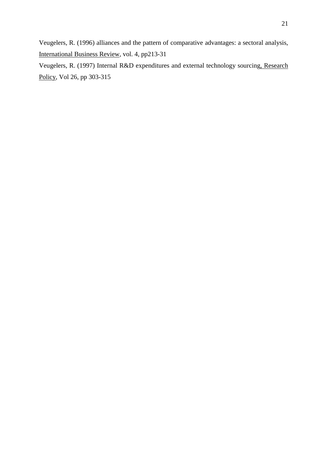Veugelers, R. (1996) alliances and the pattern of comparative advantages: a sectoral analysis, International Business Review, vol. 4, pp213-31

Veugelers, R. (1997) Internal R&D expenditures and external technology sourcing, Research Policy, Vol 26, pp 303-315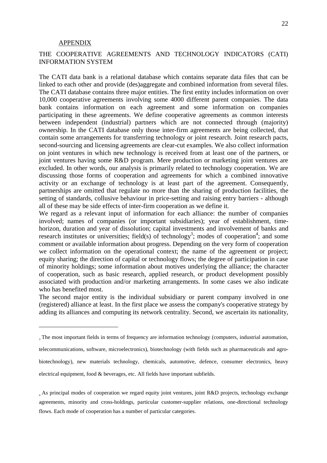#### APPENDIX

 $\overline{a}$ 

# THE COOPERATIVE AGREEMENTS AND TECHNOLOGY INDICATORS (CATI) INFORMATION SYSTEM

The CATI data bank is a relational database which contains separate data files that can be linked to each other and provide (des)aggregate and combined information from several files. The CATI database contains three major entities. The first entity includes information on over 10,000 cooperative agreements involving some 4000 different parent companies. The data bank contains information on each agreement and some information on companies participating in these agreements. We define cooperative agreements as common interests between independent (industrial) partners which are not connected through (majority) ownership. In the CATI database only those inter-firm agreements are being collected, that contain some arrangements for transferring technology or joint research. Joint research pacts, second-sourcing and licensing agreements are clear-cut examples. We also collect information on joint ventures in which new technology is received from at least one of the partners, or joint ventures having some R&D program. Mere production or marketing joint ventures are excluded. In other words, our analysis is primarily related to technology cooperation. We are discussing those forms of cooperation and agreements for which a combined innovative activity or an exchange of technology is at least part of the agreement. Consequently, partnerships are omitted that regulate no more than the sharing of production facilities, the setting of standards, collusive behaviour in price-setting and raising entry barriers - although all of these may be side effects of inter-firm cooperation as we define it.

We regard as a relevant input of information for each alliance: the number of companies involved; names of companies (or important subsidiaries); year of establishment, timehorizon, duration and year of dissolution; capital investments and involvement of banks and research institutes or universities; field(s) of technology<sup>3</sup>; modes of cooperation<sup>4</sup>; and some comment or available information about progress. Depending on the very form of cooperation we collect information on the operational context; the name of the agreement or project; equity sharing; the direction of capital or technology flows; the degree of participation in case of minority holdings; some information about motives underlying the alliance; the character of cooperation, such as basic research, applied research, or product development possibly associated with production and/or marketing arrangements. In some cases we also indicate who has benefited most.

The second major entity is the individual subsidiary or parent company involved in one (registered) alliance at least. In the first place we assess the company's cooperative strategy by adding its alliances and computing its network centrality. Second, we ascertain its nationality,

telecommunications, software, microelectronics), biotechnology (with fields such as pharmaceuticals and agrobiotechnology), new materials technology, chemicals, automotive, defence, consumer electronics, heavy electrical equipment, food & beverages, etc. All fields have important subfields.

<sup>&</sup>lt;sup>2</sup> The most important fields in terms of frequency are information technology (computers, industrial automation,

<sup>4</sup> As principal modes of cooperation we regard equity joint ventures, joint R&D projects, technology exchange agreements, minority and cross-holdings, particular customer-supplier relations, one-directional technology flows. Each mode of cooperation has a number of particular categories.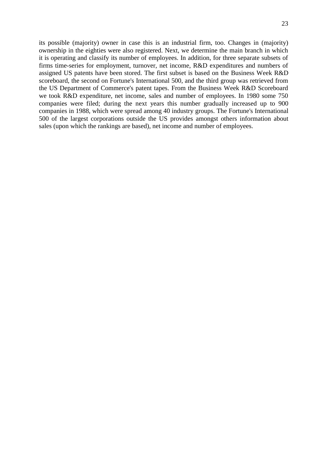23

its possible (majority) owner in case this is an industrial firm, too. Changes in (majority) ownership in the eighties were also registered. Next, we determine the main branch in which it is operating and classify its number of employees. In addition, for three separate subsets of firms time-series for employment, turnover, net income, R&D expenditures and numbers of assigned US patents have been stored. The first subset is based on the Business Week R&D scoreboard, the second on Fortune's International 500, and the third group was retrieved from the US Department of Commerce's patent tapes. From the Business Week R&D Scoreboard we took R&D expenditure, net income, sales and number of employees. In 1980 some 750 companies were filed; during the next years this number gradually increased up to 900 companies in 1988, which were spread among 40 industry groups. The Fortune's International 500 of the largest corporations outside the US provides amongst others information about sales (upon which the rankings are based), net income and number of employees.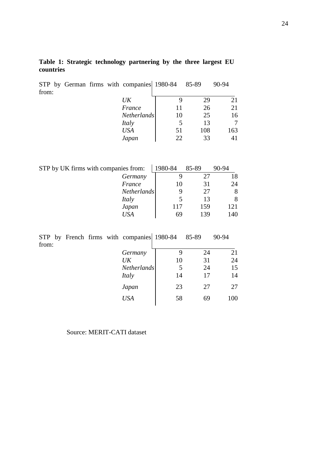# **Table 1: Strategic technology partnering by the three largest EU countries**

|       |  |  | STP by German firms with companies 1980-84 85-89 |    |     | 90-94 |
|-------|--|--|--------------------------------------------------|----|-----|-------|
| from: |  |  |                                                  |    |     |       |
|       |  |  | UK                                               |    | 29  |       |
|       |  |  | France                                           | 11 | 26  | 21    |
|       |  |  | <b>Netherlands</b>                               | 10 | 25  | 16    |
|       |  |  | Italy                                            |    | 13  |       |
|       |  |  | <b>USA</b>                                       | 51 | 108 | 163   |
|       |  |  | Japan                                            | 22 | 33  | 41    |

| STP by UK firms with companies from: | 1980-84 | 85-89 | 90-94 |
|--------------------------------------|---------|-------|-------|
| Germany                              |         |       | 18    |
| France                               | 10      | 31    | 24    |
| <b>Netherlands</b>                   |         | 27    | 8     |
| Italy                                |         | 13    | 8     |
| Japan                                | 117     | 159   | 121   |
| USA                                  | 69      | 139   | 140   |

|       |  |  | STP by French firms with companies 1980-84 |    | 85-89 | 90-94 |
|-------|--|--|--------------------------------------------|----|-------|-------|
| from: |  |  |                                            |    |       |       |
|       |  |  | Germany                                    | 9  | 24    | 21    |
|       |  |  | UK                                         | 10 | 31    | 24    |
|       |  |  | <b>Netherlands</b>                         | 5  | 24    | 15    |
|       |  |  | Italy                                      | 14 | 17    | 14    |
|       |  |  | Japan                                      | 23 | 27    | 27    |
|       |  |  | <b>USA</b>                                 | 58 | 69    | 100   |
|       |  |  |                                            |    |       |       |

Source: MERIT-CATI dataset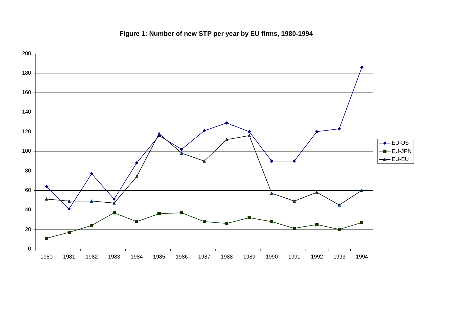**Figure 1: Number of new STP per year by EU firms, 1980-1994**